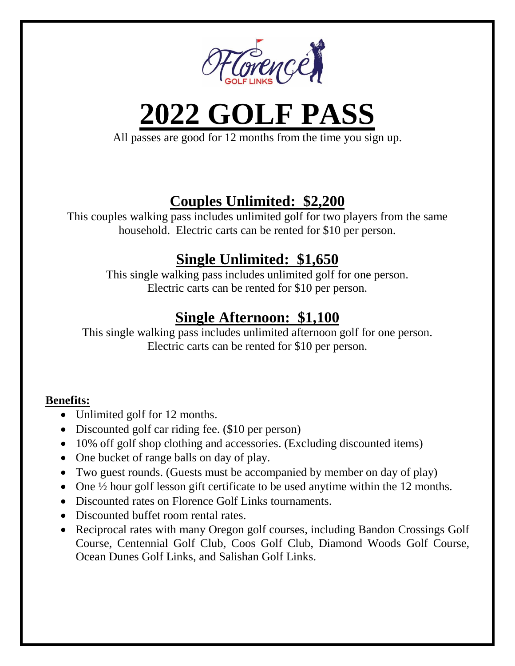

**2022 GOLF PASS**

All passes are good for 12 months from the time you sign up.

# **Couples Unlimited: \$2,200**

This couples walking pass includes unlimited golf for two players from the same household. Electric carts can be rented for \$10 per person.

## **Single Unlimited: \$1,650**

This single walking pass includes unlimited golf for one person. Electric carts can be rented for \$10 per person.

## **Single Afternoon: \$1,100**

This single walking pass includes unlimited afternoon golf for one person. Electric carts can be rented for \$10 per person.

#### **Benefits:**

- Unlimited golf for 12 months.
- Discounted golf car riding fee. (\$10 per person)
- 10% off golf shop clothing and accessories. (Excluding discounted items)
- One bucket of range balls on day of play.
- Two guest rounds. (Guests must be accompanied by member on day of play)
- One  $\frac{1}{2}$  hour golf lesson gift certificate to be used anytime within the 12 months.
- Discounted rates on Florence Golf Links tournaments.
- Discounted buffet room rental rates.
- Reciprocal rates with many Oregon golf courses, including Bandon Crossings Golf Course, Centennial Golf Club, Coos Golf Club, Diamond Woods Golf Course, Ocean Dunes Golf Links, and Salishan Golf Links.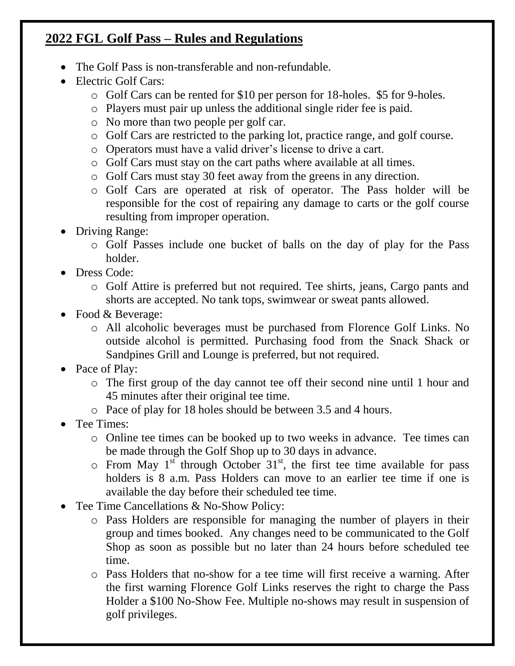#### **2022 FGL Golf Pass – Rules and Regulations**

- The Golf Pass is non-transferable and non-refundable.
- Electric Golf Cars:
	- o Golf Cars can be rented for \$10 per person for 18-holes. \$5 for 9-holes.
	- o Players must pair up unless the additional single rider fee is paid.
	- o No more than two people per golf car.
	- o Golf Cars are restricted to the parking lot, practice range, and golf course.
	- o Operators must have a valid driver's license to drive a cart.
	- o Golf Cars must stay on the cart paths where available at all times.
	- o Golf Cars must stay 30 feet away from the greens in any direction.
	- o Golf Cars are operated at risk of operator. The Pass holder will be responsible for the cost of repairing any damage to carts or the golf course resulting from improper operation.
- Driving Range:
	- o Golf Passes include one bucket of balls on the day of play for the Pass holder.
- Dress Code:
	- o Golf Attire is preferred but not required. Tee shirts, jeans, Cargo pants and shorts are accepted. No tank tops, swimwear or sweat pants allowed.
- Food & Beverage:
	- o All alcoholic beverages must be purchased from Florence Golf Links. No outside alcohol is permitted. Purchasing food from the Snack Shack or Sandpines Grill and Lounge is preferred, but not required.
- Pace of Play:
	- o The first group of the day cannot tee off their second nine until 1 hour and 45 minutes after their original tee time.
	- o Pace of play for 18 holes should be between 3.5 and 4 hours.
- Tee Times:
	- o Online tee times can be booked up to two weeks in advance. Tee times can be made through the Golf Shop up to 30 days in advance.
	- $\circ$  From May 1<sup>st</sup> through October 31<sup>st</sup>, the first tee time available for pass holders is 8 a.m. Pass Holders can move to an earlier tee time if one is available the day before their scheduled tee time.
- Tee Time Cancellations & No-Show Policy:
	- o Pass Holders are responsible for managing the number of players in their group and times booked. Any changes need to be communicated to the Golf Shop as soon as possible but no later than 24 hours before scheduled tee time.
	- o Pass Holders that no-show for a tee time will first receive a warning. After the first warning Florence Golf Links reserves the right to charge the Pass Holder a \$100 No-Show Fee. Multiple no-shows may result in suspension of golf privileges.